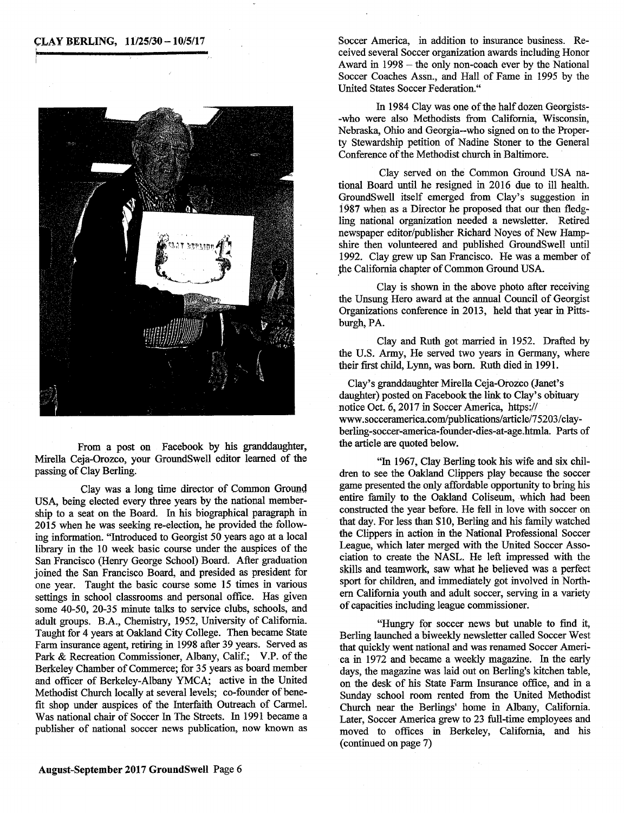

From a post on Facebook by his granddaughter, Mirella Ceja-Orozco, your GroundSwell editor learned of the passing of Clay Berling.

Clay was a long time director of Common Ground USA, being elected every three years by the national membership to a seat on the Board. In his biographical paragraph in 2015 when he was seeking re-election, he provided the following information. "Introduced to Georgist 50 years ago at a local library in the 10 week basic course under the auspices of the San Francisco (Henry George School) Board. After graduation joined the San Francisco Board, and presided as president for one year. Taught the basic course some 15 times in various settings in school classrooms and personal office. Has given some *40-50, 20-35* minute talks to service clubs, schools, and adult groups. B.A., Chemistry, *1952,* University of California. Taught for 4 years at Oakland City College. Then became State Farm insurance agent, retiring in 1998 after 39 years. Served as Park & Recreation Commissioner, Albany, Calif.; V.P. of the Berkeley Chamber of Commerce; for 35 years as board member and officer of Berkeley-Albany YMCA; active in the United Methodist Church locally at several levels; co-founder of benefit shop under auspices of the Interfaith Outreach of Carmel. Was national chair of Soccer In The Streets. In 1991 became a publisher of national soccer news publication, now known as

**CLAY BERLING, 11/25/30 - 10/5/17** Soccer America, in addition to insurance business. Received several Soccer organization awards including Honor Award in 1998 – the only non-coach ever by the National Soccer Coaches Assn., and Hall of Fame in *1995* by the United States Soccer Federation."

> In 1984 Clay was one of the half dozen Georgists- -who were also Methodists from California, Wisconsin, Nebraska, Ohio and Georgia--who signed on to the Property Stewardship petition of Nadine Stoner to the General Conference of the Methodist church in Baltimore.

> Clay served on the Common Ground USA national Board until he resigned in 2016 due to ill health. GroundSwell itself emerged from Clay's suggestion in 1987 when as a Director he proposed that our then fledgling national organization needed a newsletter. Retired newspaper editor/publisher Richard Noyes of New Hampshire then volunteered and published GroundSwell until 1992. Clay grew up San Francisco. He was a member of the California chapter of Common Ground USA.

> Clay is shown in the above photo after receiving the Unsung Hero award at the annual Council of Georgist Organizations conference in 2013, held that year in Pittsburgh, PA.

> Clay and Ruth got married in 1952. Drafted by the U.S. Army, He served two years in Germany, where their first child, Lynn, was born. Ruth died in 1991.

> Clay's granddaughter Mirella Ceja-Orozco (Janet's daughter) posted on Facebook the link to Clay's obituary notice Oct. 6, 2017 in Soccer America, https:// www.socceramerica.com/publications/article/75203/clayberling-soccer-america-founder-dies-at-age.htmla . Parts of the article are quoted below.

> "In 1967, Clay Berling took his wife and six children to see the Oakland Clippers play because the soccer game presented the only affordable opportunity to bring his entire family to the Oakland Coliseum, which had been constructed the year before. He fell in love with soccer on that day. For less than \$10, Berling and his family watched the Clippers in action in the National Professional Soccer League, which later merged with the United Soccer Association to create the NASL. He left impressed with the skills and teamwork, saw what he believed was a perfect sport for children, and immediately got involved in Northern California youth and adult soccer, serving in a variety of capacities including league commissioner.

> "Hungry for soccer news but unable to find it, Berling launched a biweekly newsletter called Soccer West that quickly went national and was renamed Soccer America in 1972 and became a weekly magazine. In the early days, the magazine was laid out on Berling's kitchen table, on the desk of his State Farm Insurance office, and in a Sunday school room rented from the United Methodist Church near the Berlings' home in Albany, California. Later, Soccer America grew to 23 full-time employees and moved to offices in Berkeley, California, and his (continued on page 7)